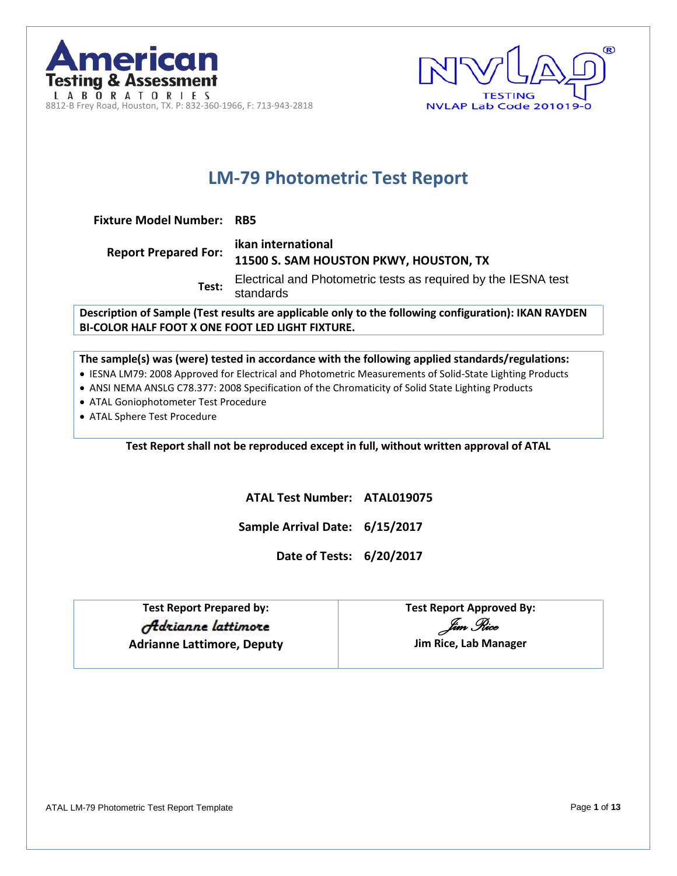



# **LM-79 Photometric Test Report**

**Fixture Model Number: RB5**

| <b>Report Prepared For:</b> | ikan international<br>11500 S. SAM HOUSTON PKWY, HOUSTON, TX                |
|-----------------------------|-----------------------------------------------------------------------------|
| Test:                       | Electrical and Photometric tests as required by the IESNA test<br>standards |

**Description of Sample (Test results are applicable only to the following configuration): IKAN RAYDEN BI-COLOR HALF FOOT X ONE FOOT LED LIGHT FIXTURE.**

**The sample(s) was (were) tested in accordance with the following applied standards/regulations:**

- IESNA LM79: 2008 Approved for Electrical and Photometric Measurements of Solid-State Lighting Products
- ANSI NEMA ANSLG C78.377: 2008 Specification of the Chromaticity of Solid State Lighting Products
- ATAL Goniophotometer Test Procedure
- ATAL Sphere Test Procedure

**Test Report shall not be reproduced except in full, without written approval of ATAL**

**ATAL Test Number: ATAL019075**

**Sample Arrival Date: 6/15/2017**

**Date of Tests: 6/20/2017**

**Test Report Prepared by: Test Report Approved By:** Adrianne lattimore **Adrianne Lattimore, Deputy Jim Rice, Lab Manager**

*Jim Rice*

ATAL LM-79 Photometric Test Report Template Page **1** of **13**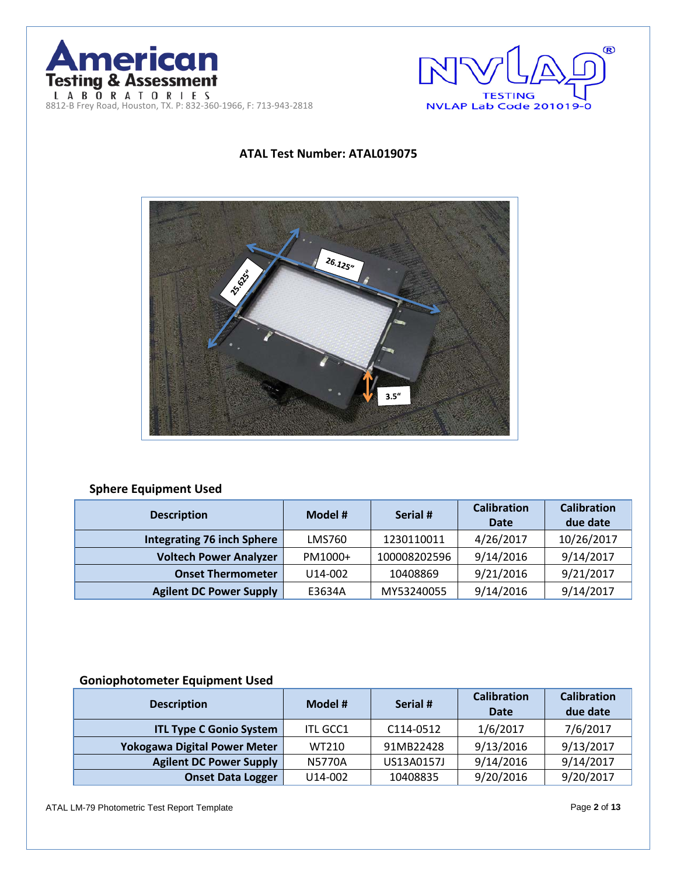



## **ATAL Test Number: ATAL019075**



## **Sphere Equipment Used**

| <b>Description</b>                | Model # | Serial #     | <b>Calibration</b><br><b>Date</b> | <b>Calibration</b><br>due date |  |
|-----------------------------------|---------|--------------|-----------------------------------|--------------------------------|--|
| <b>Integrating 76 inch Sphere</b> | LMS760  | 1230110011   | 4/26/2017                         | 10/26/2017                     |  |
| <b>Voltech Power Analyzer</b>     | PM1000+ | 100008202596 | 9/14/2016                         | 9/14/2017                      |  |
| <b>Onset Thermometer</b>          | U14-002 | 10408869     | 9/21/2016                         | 9/21/2017                      |  |
| <b>Agilent DC Power Supply</b>    | E3634A  | MY53240055   | 9/14/2016                         | 9/14/2017                      |  |

## **Goniophotometer Equipment Used**

| <b>Description</b>             | Model #         | Serial #   | <b>Calibration</b><br><b>Date</b> | <b>Calibration</b><br>due date |  |
|--------------------------------|-----------------|------------|-----------------------------------|--------------------------------|--|
| <b>ITL Type C Gonio System</b> | <b>ITL GCC1</b> | C114-0512  | 1/6/2017                          | 7/6/2017                       |  |
| Yokogawa Digital Power Meter   | WT210           | 91MB22428  | 9/13/2016                         | 9/13/2017                      |  |
| <b>Agilent DC Power Supply</b> | <b>N5770A</b>   | US13A0157J | 9/14/2016                         | 9/14/2017                      |  |
| <b>Onset Data Logger</b>       | U14-002         | 10408835   | 9/20/2016                         | 9/20/2017                      |  |

ATAL LM-79 Photometric Test Report Template Page **2** of **13**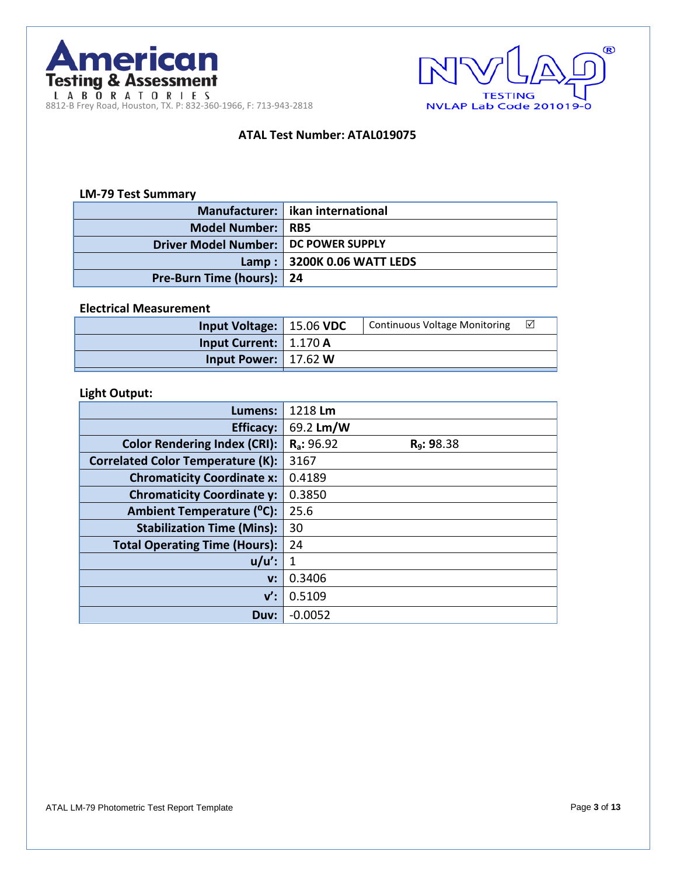



## **ATAL Test Number: ATAL019075**

### **LM-79 Test Summary**

|                                        | Manufacturer:   ikan international |
|----------------------------------------|------------------------------------|
| Model Number: RB5                      |                                    |
| Driver Model Number:   DC POWER SUPPLY |                                    |
|                                        | Lamp: 3200K 0.06 WATT LEDS         |
| Pre-Burn Time (hours): 24              |                                    |

#### **Electrical Measurement**

### **Light Output:**

| Lumens:                                  | 1218 Lm                                |
|------------------------------------------|----------------------------------------|
| <b>Efficacy:</b>                         | 69.2 Lm/W                              |
| <b>Color Rendering Index (CRI):</b>      | $R_a: 96.92$<br>R <sub>9</sub> : 98.38 |
| <b>Correlated Color Temperature (K):</b> | 3167                                   |
| <b>Chromaticity Coordinate x:</b>        | 0.4189                                 |
| <b>Chromaticity Coordinate y:</b>        | 0.3850                                 |
| Ambient Temperature (°C):                | 25.6                                   |
| <b>Stabilization Time (Mins):</b>        | 30                                     |
| <b>Total Operating Time (Hours):</b>     | 24                                     |
| $u/u'$ :                                 | 1                                      |
| V:                                       | 0.3406                                 |
| $\mathsf{v}'$ :                          | 0.5109                                 |
| Duv:                                     | $-0.0052$                              |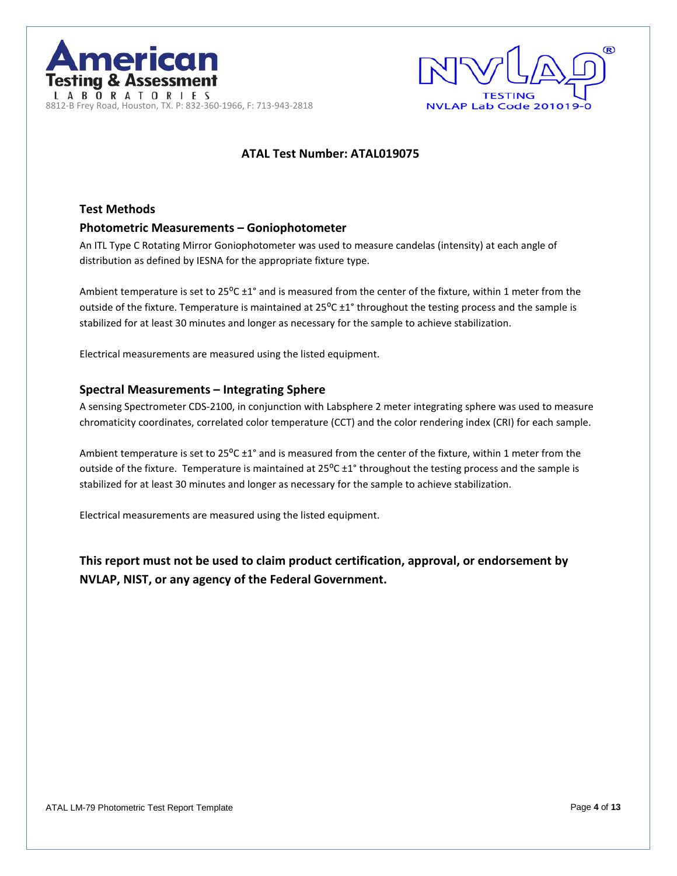



## **ATAL Test Number: ATAL019075**

## **Test Methods Photometric Measurements – Goniophotometer**

An ITL Type C Rotating Mirror Goniophotometer was used to measure candelas (intensity) at each angle of distribution as defined by IESNA for the appropriate fixture type.

Ambient temperature is set to 25 $^{\circ}$ C ±1° and is measured from the center of the fixture, within 1 meter from the outside of the fixture. Temperature is maintained at 25°C ±1° throughout the testing process and the sample is stabilized for at least 30 minutes and longer as necessary for the sample to achieve stabilization.

Electrical measurements are measured using the listed equipment.

### **Spectral Measurements – Integrating Sphere**

A sensing Spectrometer CDS-2100, in conjunction with Labsphere 2 meter integrating sphere was used to measure chromaticity coordinates, correlated color temperature (CCT) and the color rendering index (CRI) for each sample.

Ambient temperature is set to 25 $^{\circ}$ C ±1° and is measured from the center of the fixture, within 1 meter from the outside of the fixture. Temperature is maintained at 25°C ±1° throughout the testing process and the sample is stabilized for at least 30 minutes and longer as necessary for the sample to achieve stabilization.

Electrical measurements are measured using the listed equipment.

**This report must not be used to claim product certification, approval, or endorsement by NVLAP, NIST, or any agency of the Federal Government.**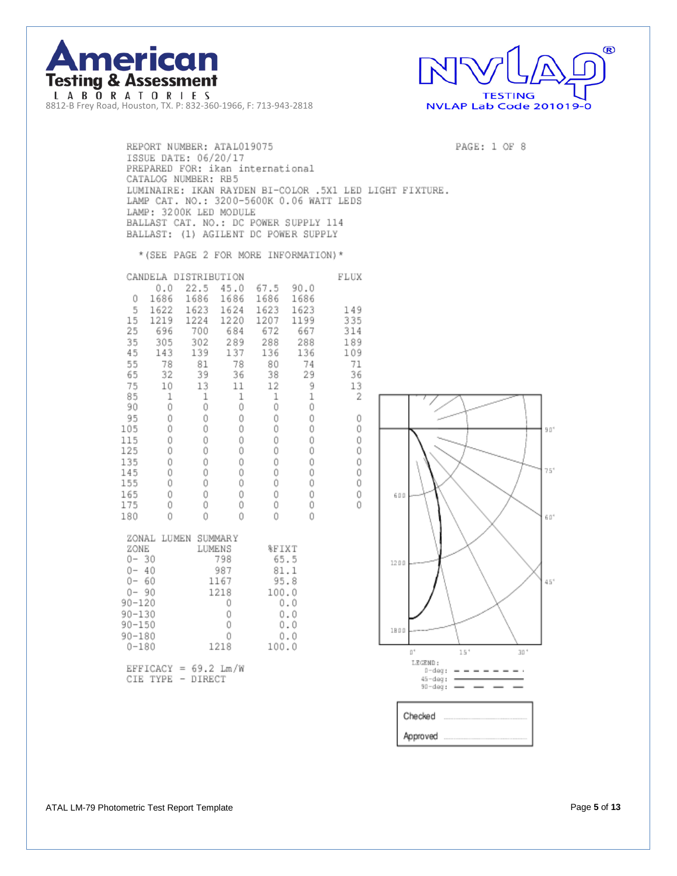



PAGE: 1 OF 8

REPORT NUMBER: ATAL019075 ISSUE DATE: 06/20/17 PREPARED FOR: ikan international CATALOG NUMBER: RB5 LUMINAIRE: IKAN RAYDEN BI-COLOR .5X1 LED LIGHT FIXTURE. LAMP CAT. NO.: 3200-5600K 0.06 WATT LEDS LAMP: 3200K LED MODULE BALLAST CAT. NO.: DC POWER SUPPLY 114 BALLAST: (1) AGILENT DC POWER SUPPLY

FLUX

\* (SEE PAGE 2 FOR MORE INFORMATION) \*

| CANDELA DISTRIBUTION<br>0.0<br>1686<br>0<br>5<br>1622<br>15<br>1219<br>25<br>696<br>35<br>305<br>45<br>143<br>55<br>78<br>32<br>65<br>75<br>10<br>85<br>1<br>Ô<br>90<br>95<br>Ô<br>Ó<br>105<br>115<br>Ô<br>Ô<br>125<br>135<br>Ô<br>Ô<br>145<br>Ô<br>155<br>Ô<br>165<br>Ô<br>175<br>Ŏ<br>180 | 22.5<br>1686<br>1623<br>1224<br>700<br>302<br>139<br>81<br>39<br>13<br>1<br>Ô<br>Ŏ<br>Ŏ<br>0<br>Ó<br>Û<br>Ó<br>Ó<br>Ô<br>Ó<br>Ŏ | 45.0<br>1686<br>1624<br>1220<br>684<br>289<br>137<br>78<br>36<br>11<br>1<br>Û<br>Ô<br>Ó<br>Ô<br>Ô<br>Ô<br>Ô<br>Ô<br>Ô<br>Ô<br>Ŏ | 67.5<br>1686<br>1623<br>1207<br>672<br>288<br>136<br>80<br>38<br>12<br>1<br>Ô<br>Ó<br>Ó<br>Ô<br>Ô<br>Ô<br>Ó<br>Ô<br>Ô<br>Ó<br>Ŏ | 90.0<br>1686<br>1623<br>1199<br>667<br>288<br>136<br>74<br>29<br>9<br>ì<br>Ô<br>0<br>Ŏ<br>Ô<br>Ô<br>Û<br>Ô<br>Ó<br>Ô<br>Ô<br>Ŏ |
|---------------------------------------------------------------------------------------------------------------------------------------------------------------------------------------------------------------------------------------------------------------------------------------------|---------------------------------------------------------------------------------------------------------------------------------|---------------------------------------------------------------------------------------------------------------------------------|---------------------------------------------------------------------------------------------------------------------------------|--------------------------------------------------------------------------------------------------------------------------------|
| ZONAL<br>ZONE<br>$0 - 30$<br>Û-<br>40<br>$0 - 60$<br>$0 - 90$<br>$90 - 120$<br>$90 - 130$<br>$90 - 150$<br>$90 - 180$<br>$0 - 180$<br>EPPICACY                                                                                                                                              | LUMEN<br>SUMMARY<br>LUMENS<br>$-50$                                                                                             | 798<br>987<br>1167<br>1218<br>Ô<br>Ó<br>Ó<br>Ô<br>1218<br>ウェーバル                                                                 | %FIXT<br>65.5<br>81.1<br>95.8<br>100.0<br>100.0                                                                                 | 0.0<br>0.0<br>0.0<br>0.0                                                                                                       |

 $EFFICACY = 69.2 Lm/W  
\nCIE TYPE - DIRECT$ 

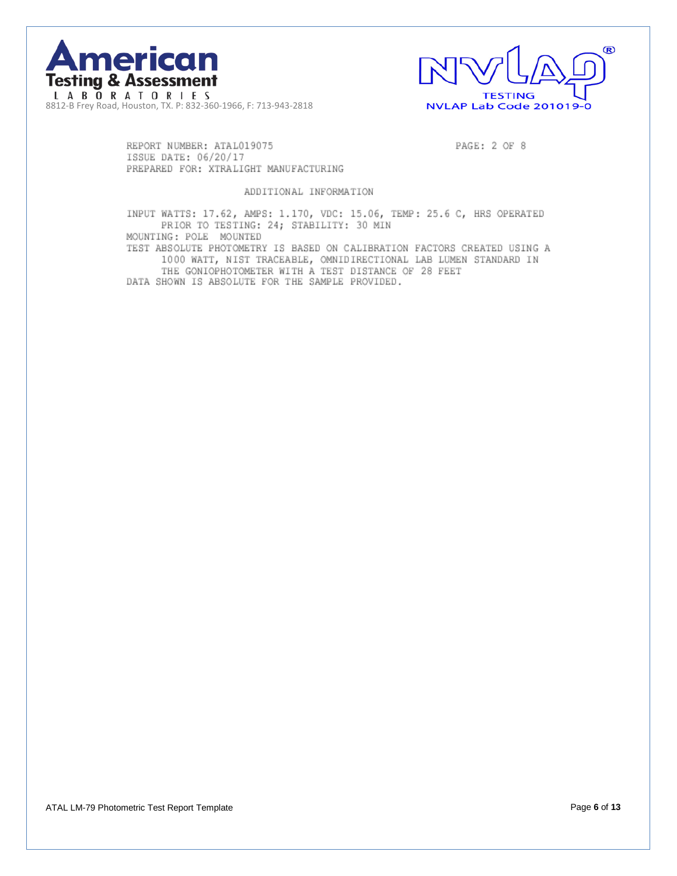



REPORT NUMBER: ATAL019075 ISSUE DATE: 06/20/17 PREPARED FOR: XTRALIGHT MANUFACTURING PAGE: 2 OF 8

#### ADDITIONAL INFORMATION

INPUT WATTS: 17.62, AMPS: 1.170, VDC: 15.06, TEMP: 25.6 C, HRS OPERATED PRIOR TO TESTING: 24; STABILITY: 30 MIN MOUNTING: POLE MOUNTED

TEST ABSOLUTE PHOTOMETRY IS BASED ON CALIBRATION FACTORS CREATED USING A 1000 WATT, NIST TRACEABLE, OMNIDIRECTIONAL LAB LUMEN STANDARD IN THE GONIOPHOTOMETER WITH A TEST DISTANCE OF 28 FEET

DATA SHOWN IS ABSOLUTE FOR THE SAMPLE PROVIDED.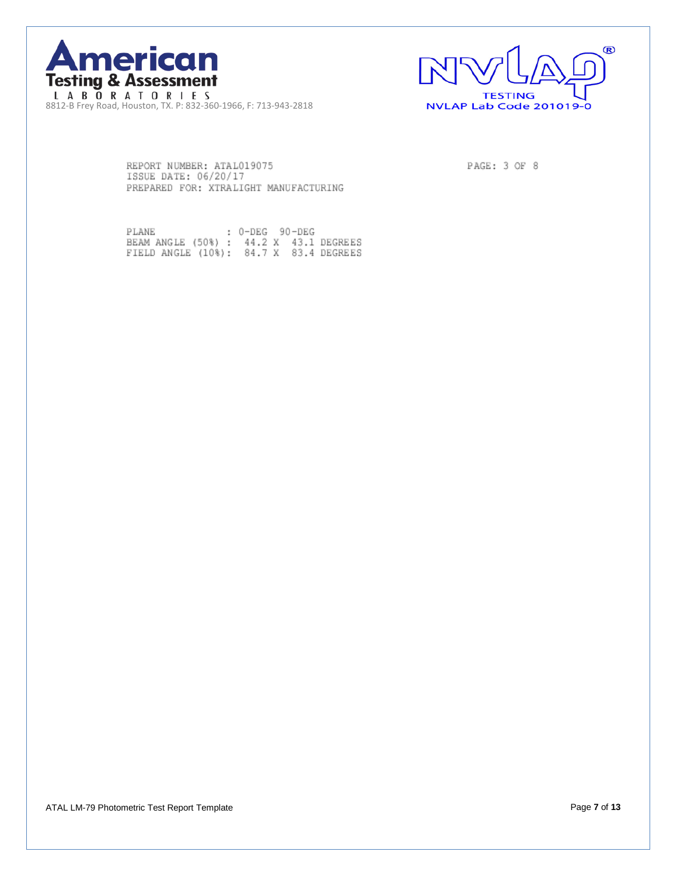



REPORT NUMBER: ATAL019075 ISSUE DATE: 06/20/17 PREPARED FOR: XTRALIGHT MANUFACTURING PAGE: 3 OF 8

PLANE : 0-DEG 90-DEG<br>BEAM ANGLE (50%) : 44.2 X 43.1 DEGREES<br>FIELD ANGLE (10%): 84.7 X 83.4 DEGREES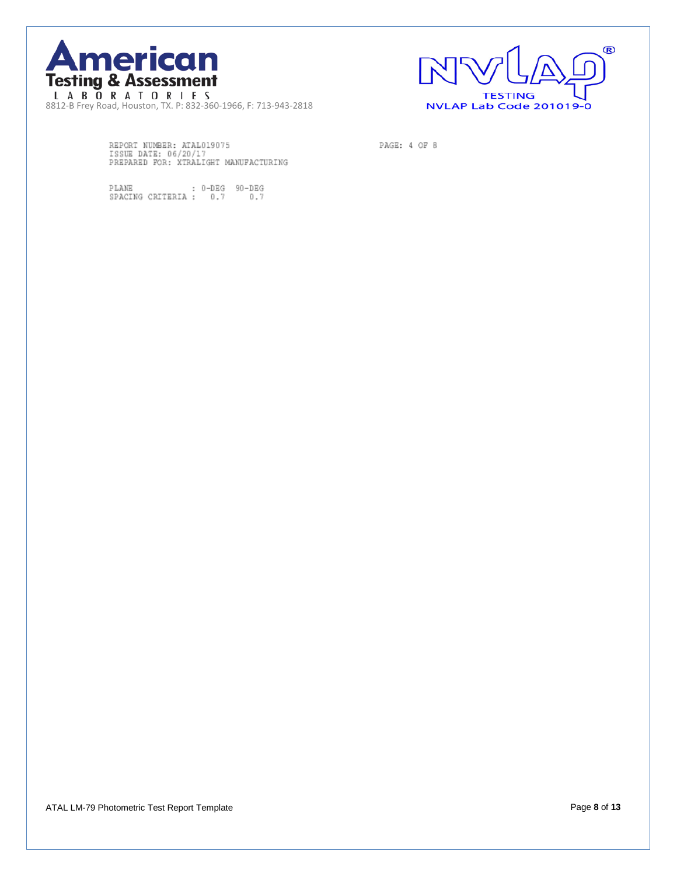



PAGE: 4 OF 8

REPORT NUMBER: ATALO19075<br>ISSUE DATE: 06/20/17<br>PREPARED FOR: XTRALIGHT MANUFACTURING

 $\begin{tabular}{ll} \texttt{PLANE} & \texttt{: 0-DEG} \\ \texttt{SPACEING CRITERIA :} & 0.7 & 0.7 \\ \end{tabular}$ 

ATAL LM-79 Photometric Test Report Template Page **8** of **13**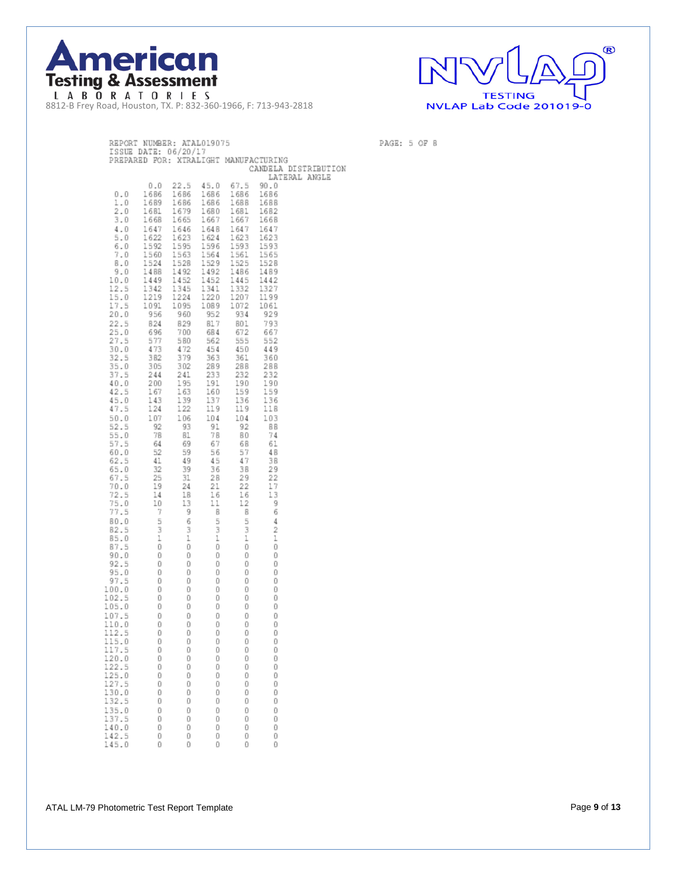



PAGE: 5 OF 8

| REPORT NUMBER: ATAL019075                                          |                                             |                                                                                                                                                                                                                                                                                                                                    |           |                                                                                                                                                                                                                                                                                                        |                                                                                               |                      |
|--------------------------------------------------------------------|---------------------------------------------|------------------------------------------------------------------------------------------------------------------------------------------------------------------------------------------------------------------------------------------------------------------------------------------------------------------------------------|-----------|--------------------------------------------------------------------------------------------------------------------------------------------------------------------------------------------------------------------------------------------------------------------------------------------------------|-----------------------------------------------------------------------------------------------|----------------------|
| ISSUE DATE: 06/20/17                                               |                                             |                                                                                                                                                                                                                                                                                                                                    |           |                                                                                                                                                                                                                                                                                                        |                                                                                               |                      |
|                                                                    |                                             |                                                                                                                                                                                                                                                                                                                                    |           |                                                                                                                                                                                                                                                                                                        | PREPARED FOR: XTRALIGHT MANUFACTURING                                                         |                      |
|                                                                    |                                             |                                                                                                                                                                                                                                                                                                                                    |           |                                                                                                                                                                                                                                                                                                        |                                                                                               | CANDELA DISTRIBUTION |
|                                                                    |                                             |                                                                                                                                                                                                                                                                                                                                    |           |                                                                                                                                                                                                                                                                                                        |                                                                                               | LATERAL ANGLE        |
|                                                                    | 0.0                                         |                                                                                                                                                                                                                                                                                                                                    |           | 22.5 45.0 67.5<br>$\begin{array}{cccc} 0.0 & 22.5 & 45.0 & 67.5 & 90.0 \\ 1686 & 1686 & 1686 & 1686 & 1686 \\ 1689 & 1686 & 1686 & 1686 & 1686 \\ 1681 & 1679 & 1680 & 1681 & 1682 \\ 1668 & 1665 & 1667 & 1667 & 1668 \\ 1647 & 1646 & 1648 & 1647 & 1647 \\ 1622 & 1623 & 1624 & 1623 & 1623 \\ 159$ | 90.0                                                                                          |                      |
| 0.0                                                                |                                             |                                                                                                                                                                                                                                                                                                                                    |           |                                                                                                                                                                                                                                                                                                        |                                                                                               |                      |
| 1.0                                                                |                                             |                                                                                                                                                                                                                                                                                                                                    |           |                                                                                                                                                                                                                                                                                                        |                                                                                               |                      |
| 2.0                                                                |                                             |                                                                                                                                                                                                                                                                                                                                    |           |                                                                                                                                                                                                                                                                                                        |                                                                                               |                      |
| 3.0                                                                |                                             |                                                                                                                                                                                                                                                                                                                                    |           |                                                                                                                                                                                                                                                                                                        |                                                                                               |                      |
| 4.0                                                                |                                             |                                                                                                                                                                                                                                                                                                                                    |           |                                                                                                                                                                                                                                                                                                        |                                                                                               |                      |
| 5.0                                                                |                                             |                                                                                                                                                                                                                                                                                                                                    |           |                                                                                                                                                                                                                                                                                                        |                                                                                               |                      |
| 6.0                                                                |                                             |                                                                                                                                                                                                                                                                                                                                    |           |                                                                                                                                                                                                                                                                                                        |                                                                                               |                      |
| 7.0                                                                |                                             |                                                                                                                                                                                                                                                                                                                                    |           |                                                                                                                                                                                                                                                                                                        |                                                                                               |                      |
| B.O                                                                |                                             |                                                                                                                                                                                                                                                                                                                                    |           |                                                                                                                                                                                                                                                                                                        |                                                                                               |                      |
| 9.0                                                                |                                             |                                                                                                                                                                                                                                                                                                                                    |           |                                                                                                                                                                                                                                                                                                        |                                                                                               |                      |
| 10.0                                                               |                                             |                                                                                                                                                                                                                                                                                                                                    |           |                                                                                                                                                                                                                                                                                                        |                                                                                               |                      |
| 12.5                                                               |                                             |                                                                                                                                                                                                                                                                                                                                    |           |                                                                                                                                                                                                                                                                                                        |                                                                                               |                      |
| 15.0                                                               |                                             |                                                                                                                                                                                                                                                                                                                                    |           |                                                                                                                                                                                                                                                                                                        |                                                                                               |                      |
| 17.5<br>20.0                                                       |                                             |                                                                                                                                                                                                                                                                                                                                    |           |                                                                                                                                                                                                                                                                                                        |                                                                                               |                      |
|                                                                    |                                             |                                                                                                                                                                                                                                                                                                                                    |           |                                                                                                                                                                                                                                                                                                        |                                                                                               |                      |
| 22.5<br>25.0                                                       |                                             |                                                                                                                                                                                                                                                                                                                                    |           |                                                                                                                                                                                                                                                                                                        | 793<br>667                                                                                    |                      |
| 27.5                                                               |                                             |                                                                                                                                                                                                                                                                                                                                    |           |                                                                                                                                                                                                                                                                                                        | 552                                                                                           |                      |
| 30.0                                                               |                                             |                                                                                                                                                                                                                                                                                                                                    |           |                                                                                                                                                                                                                                                                                                        | 449                                                                                           |                      |
| 32.5                                                               |                                             | $\begin{array}{cccc} 524 & 829 & 812 & 824 \\ 829 & 817 & 801 \\ 696 & 700 & 684 & 672 \\ 577 & 580 & 562 & 555 \\ 473 & 472 & 454 & 450 \\ 382 & 379 & 363 & 361 \\ 382 & 379 & 363 & 361 \\ \end{array}$                                                                                                                         |           |                                                                                                                                                                                                                                                                                                        | 360                                                                                           |                      |
| 35.0                                                               | 305                                         |                                                                                                                                                                                                                                                                                                                                    |           | 288                                                                                                                                                                                                                                                                                                    |                                                                                               |                      |
| 37.5                                                               | 244                                         |                                                                                                                                                                                                                                                                                                                                    |           | 232                                                                                                                                                                                                                                                                                                    |                                                                                               |                      |
| 40.0                                                               | $\frac{20}{167}$<br>143                     |                                                                                                                                                                                                                                                                                                                                    |           | 190                                                                                                                                                                                                                                                                                                    |                                                                                               |                      |
| 42.5                                                               |                                             |                                                                                                                                                                                                                                                                                                                                    |           | 159                                                                                                                                                                                                                                                                                                    |                                                                                               |                      |
| 45.0                                                               | $\frac{143}{124}$                           |                                                                                                                                                                                                                                                                                                                                    |           |                                                                                                                                                                                                                                                                                                        |                                                                                               |                      |
| 47.5                                                               | 124                                         |                                                                                                                                                                                                                                                                                                                                    |           |                                                                                                                                                                                                                                                                                                        | $\begin{array}{cc} & 2 \\ 1.9 \\ & 159 \\ & 159 \\ & 136 \\ & 136 \\ & 17 \end{array}$<br>11B |                      |
| 50.0                                                               | 107                                         |                                                                                                                                                                                                                                                                                                                                    |           | $\frac{136}{119}$                                                                                                                                                                                                                                                                                      | 103                                                                                           |                      |
| 52.5                                                               | 92                                          |                                                                                                                                                                                                                                                                                                                                    |           | 92                                                                                                                                                                                                                                                                                                     | - B B                                                                                         |                      |
| 55.0                                                               |                                             |                                                                                                                                                                                                                                                                                                                                    |           | 80<br>68                                                                                                                                                                                                                                                                                               | 74                                                                                            |                      |
| 57.5                                                               | $78$<br>$64$<br>$52$                        | $\begin{array}{cccc} 4\ , & & & \\ 3\ 79 & & & \\ 2\ 41 & & 233 \\ 1\ 95 & & 191 \\ 1\ 93 & & 137 \\ 1\ 39 & & 137 \\ 122 & & 119 \\ 1\ 06 & & 104 \\ 93 & & 7 \\ 78 & & 67 \\ 6 & & & \\ \end{array}$<br>$\begin{array}{r} 193 \\ 93 \\ 69 \\ 69 \\ 49 \\ 39 \\ 31 \\ 24 \\ \end{array}$                                          |           |                                                                                                                                                                                                                                                                                                        | -61                                                                                           |                      |
| 60.0                                                               |                                             |                                                                                                                                                                                                                                                                                                                                    |           | 57                                                                                                                                                                                                                                                                                                     | 48                                                                                            |                      |
| 62.5                                                               | 41                                          |                                                                                                                                                                                                                                                                                                                                    |           | 47                                                                                                                                                                                                                                                                                                     | 38                                                                                            |                      |
| 65.0<br>67.5                                                       | 32<br>25                                    |                                                                                                                                                                                                                                                                                                                                    |           | 38<br>29                                                                                                                                                                                                                                                                                               | 29<br>-22                                                                                     |                      |
| 70.0                                                               |                                             |                                                                                                                                                                                                                                                                                                                                    |           | 22                                                                                                                                                                                                                                                                                                     | 17                                                                                            |                      |
| 72.5                                                               |                                             |                                                                                                                                                                                                                                                                                                                                    |           |                                                                                                                                                                                                                                                                                                        | 13                                                                                            |                      |
| 75.0                                                               |                                             |                                                                                                                                                                                                                                                                                                                                    |           | $\frac{22}{16}$<br>$\frac{12}{2}$                                                                                                                                                                                                                                                                      | $-9$                                                                                          |                      |
| 77.5                                                               |                                             |                                                                                                                                                                                                                                                                                                                                    |           |                                                                                                                                                                                                                                                                                                        | - 6                                                                                           |                      |
| BO.O                                                               |                                             | $\begin{array}{cccc} 32 & 38 \\ 22 & 31 & 28 \\ 19 & 24 & 21 \\ 14 & 18 & 16 \\ 10 & 13 & 11 \\ 7 & 9 & 8 \\ 5 & 5 & 3 \\ 1 & 1 & 1 \\ 0 & 0 & 0 \\ 0 & 0 & 0 \\ 0 & 0 & 0 \\ 0 & 0 & 0 \\ 0 & 0 & 0 \\ 0 & 0 & 0 \\ 0 & 0 & 0 \\ 0 & 0 & 0 \\ 0 & 0 & 0 \\ 0 & 0 & 0 \\ 0 & 0 & 0 \\ 0 & 0 & 0 \\ 0 & 0 & 0 \\ 0 & 0 & 0 \\ 0 & $ |           |                                                                                                                                                                                                                                                                                                        | 4                                                                                             |                      |
| 82.5                                                               |                                             |                                                                                                                                                                                                                                                                                                                                    |           |                                                                                                                                                                                                                                                                                                        | 2                                                                                             |                      |
| 85.0                                                               |                                             |                                                                                                                                                                                                                                                                                                                                    |           | $\mathbf 1$                                                                                                                                                                                                                                                                                            | $\mathbbm{1}$                                                                                 |                      |
| 87.5                                                               |                                             |                                                                                                                                                                                                                                                                                                                                    |           | 0                                                                                                                                                                                                                                                                                                      | Đ                                                                                             |                      |
| 90.0                                                               |                                             |                                                                                                                                                                                                                                                                                                                                    |           | 0                                                                                                                                                                                                                                                                                                      | O                                                                                             |                      |
| 92.5                                                               |                                             |                                                                                                                                                                                                                                                                                                                                    |           | Ū                                                                                                                                                                                                                                                                                                      | Ū                                                                                             |                      |
| 95.0<br>97.5                                                       | $\begin{matrix} 0 \\ 0 \\ 0 \end{matrix}$   |                                                                                                                                                                                                                                                                                                                                    |           | Đ<br>o                                                                                                                                                                                                                                                                                                 | Đ<br>Ū                                                                                        |                      |
| 100.0                                                              |                                             | o                                                                                                                                                                                                                                                                                                                                  |           | 0                                                                                                                                                                                                                                                                                                      | Đ                                                                                             |                      |
| 102.5                                                              |                                             | - 0                                                                                                                                                                                                                                                                                                                                | oooc<br>O | 0                                                                                                                                                                                                                                                                                                      | Ð                                                                                             |                      |
| 105.0                                                              |                                             | 0                                                                                                                                                                                                                                                                                                                                  |           | o                                                                                                                                                                                                                                                                                                      | o                                                                                             |                      |
| 107.5                                                              | $\begin{bmatrix} 0 \\ 0 \\ 0 \end{bmatrix}$ | $\Box$                                                                                                                                                                                                                                                                                                                             | $\Box$    | Ð                                                                                                                                                                                                                                                                                                      | Đ                                                                                             |                      |
| 110.0                                                              | 0                                           | Ū                                                                                                                                                                                                                                                                                                                                  | - 0       | D                                                                                                                                                                                                                                                                                                      | Ū                                                                                             |                      |
|                                                                    | 0                                           | D                                                                                                                                                                                                                                                                                                                                  | o         | o                                                                                                                                                                                                                                                                                                      | o                                                                                             |                      |
|                                                                    | Ū                                           | Ū                                                                                                                                                                                                                                                                                                                                  | Ū         | Ū                                                                                                                                                                                                                                                                                                      | Ū                                                                                             |                      |
|                                                                    | Ū                                           | Ū                                                                                                                                                                                                                                                                                                                                  | Ū         | Ū                                                                                                                                                                                                                                                                                                      | Ū                                                                                             |                      |
| $\begin{array}{c} 112.5 \\ 115.0 \\ 117.5 \\ 120.0 \\ \end{array}$ | Ū                                           | Ū                                                                                                                                                                                                                                                                                                                                  | Ū         | Ū                                                                                                                                                                                                                                                                                                      | Ū                                                                                             |                      |
| 122.5                                                              | D                                           | D                                                                                                                                                                                                                                                                                                                                  | Ū         | Ū                                                                                                                                                                                                                                                                                                      | Ū                                                                                             |                      |
| 125.0                                                              | Ū                                           | Ū                                                                                                                                                                                                                                                                                                                                  | Ū         | Ū                                                                                                                                                                                                                                                                                                      | Ū                                                                                             |                      |
| 127.5                                                              | Ū                                           | Ū<br>Ū                                                                                                                                                                                                                                                                                                                             | Ū<br>Ū    | Ū<br>Ū                                                                                                                                                                                                                                                                                                 | Ū<br>Ū                                                                                        |                      |
| 130.0<br>132.5                                                     | Ū<br>Ū                                      | Ū                                                                                                                                                                                                                                                                                                                                  | Ū         | Ū                                                                                                                                                                                                                                                                                                      | Ū                                                                                             |                      |
| 135.0                                                              | Ū                                           | Ū                                                                                                                                                                                                                                                                                                                                  | Ū         | Ū                                                                                                                                                                                                                                                                                                      | Ū                                                                                             |                      |
| 137.5                                                              | Ū                                           | Ū                                                                                                                                                                                                                                                                                                                                  | Ū         | Ū                                                                                                                                                                                                                                                                                                      | Ū                                                                                             |                      |
| 140.0                                                              | Ū                                           | Ū                                                                                                                                                                                                                                                                                                                                  | Ū         | Ū                                                                                                                                                                                                                                                                                                      | Ū                                                                                             |                      |
| 142.5                                                              | Ū                                           | D                                                                                                                                                                                                                                                                                                                                  | Ū         | Ū                                                                                                                                                                                                                                                                                                      | Ū                                                                                             |                      |
| 45.0<br>1                                                          | Ū                                           | Ū                                                                                                                                                                                                                                                                                                                                  | Ū         | Ū                                                                                                                                                                                                                                                                                                      | Ū                                                                                             |                      |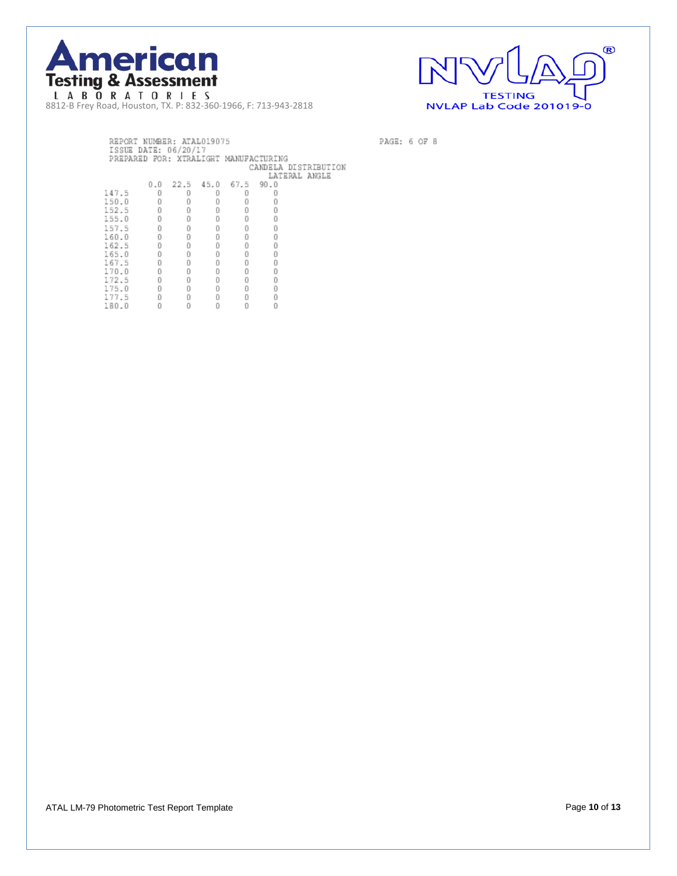



PAGE: 6 OF 8

|           | REPORT NUMBER: ATALO19075<br>ISSUE DATE: 06/20/17 |   |   |                    |                                       |                                       |
|-----------|---------------------------------------------------|---|---|--------------------|---------------------------------------|---------------------------------------|
|           |                                                   |   |   |                    | PREPARED FOR: XTRALIGHT MANUFACTURING |                                       |
|           |                                                   |   |   |                    |                                       | CANDELA DISTRIBUTION<br>LATERAL ANGLE |
|           |                                                   |   |   | 0.0 22.5 45.0 67.5 | 90.0                                  |                                       |
| 147.5     | n                                                 |   |   |                    |                                       |                                       |
|           |                                                   |   |   |                    |                                       |                                       |
| 150.0     | Ū                                                 |   |   |                    |                                       |                                       |
| 152.5     | Ū                                                 | D |   |                    |                                       |                                       |
| 155.0     | n                                                 | Ū |   | n                  |                                       |                                       |
| 157.5     | Ū                                                 | Ū | n | Ū                  |                                       |                                       |
| 160.0     | Ū                                                 | Ū | Ū | Ū                  | Ū                                     |                                       |
| 162.5     | n                                                 | Ū | n | n                  | Ū                                     |                                       |
| 165.0     | Ū                                                 | Ū | n | Ū                  | Ū                                     |                                       |
| 167.5     | Ū                                                 | Ū | n | n                  |                                       |                                       |
| 170.0     | Ū                                                 | Ū | D | Ū                  | Ū                                     |                                       |
| 172.5     |                                                   | Ō | Ū | Ū                  |                                       |                                       |
| 175.<br>Ð |                                                   | Ū | П |                    |                                       |                                       |
| 177.5     |                                                   | n |   |                    |                                       |                                       |
| 180.0     |                                                   |   |   |                    |                                       |                                       |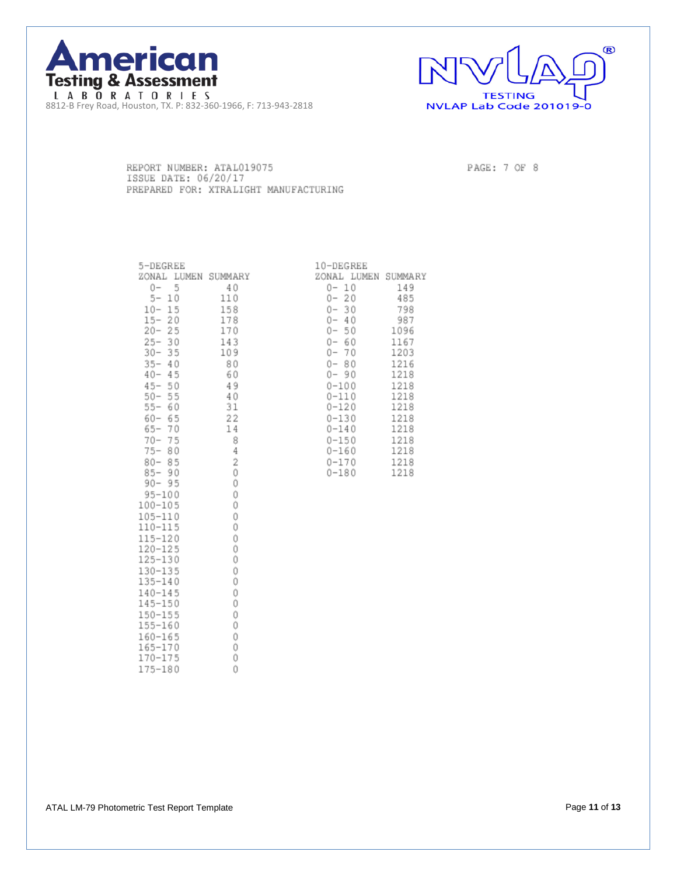



REPORT NUMBER: ATAL019075 ISSUE DATE: 06/20/17 PREPARED FOR: XTRALIGHT MANUFACTURING PAGE: 7 OF 8

| 5-DEGREE                                                                                                        |            |
|-----------------------------------------------------------------------------------------------------------------|------------|
| ZONAL LUMEN SUMMARY                                                                                             |            |
| 0-<br>5                                                                                                         | 40         |
| $\begin{array}{r} 0-5 \\ 5-10 \\ 10-15 \\ 20-25 \\ 20-35 \\ 30-35 \\ 35-40 \\ 45-50 \\ 45-15 \\ \end{array}$    | 110        |
|                                                                                                                 | 158<br>178 |
|                                                                                                                 |            |
|                                                                                                                 | 170        |
|                                                                                                                 | 143        |
|                                                                                                                 | 109        |
|                                                                                                                 | 80         |
|                                                                                                                 | 60         |
|                                                                                                                 | 49         |
|                                                                                                                 | 40         |
| $45 - 50$<br>$50 - 55$<br>$55 - 60$                                                                             | 31         |
| $60 - 65$                                                                                                       | $^{22}$    |
| $65 - 70$                                                                                                       | 14         |
| $70 - 75$                                                                                                       | 8          |
| $75 - 80$                                                                                                       | 4          |
| $80 - 85$                                                                                                       | 2          |
| $85 - 90$                                                                                                       | Ó          |
| $90 -$<br>95                                                                                                    | 0          |
| $95 - 100$                                                                                                      | Ô          |
| 100-105                                                                                                         | ò          |
| 105-110                                                                                                         | 0          |
| $110 - 115$                                                                                                     | Ó          |
| $115 - 120$                                                                                                     | 0          |
| $120 - 125$                                                                                                     | Ó          |
| 125-130                                                                                                         | Ó          |
| $130 - 135$                                                                                                     | Ô          |
| $135 - 140$                                                                                                     | Ó          |
| $140 - 145$                                                                                                     | Ô          |
| $145 - 150$                                                                                                     | Ó          |
|                                                                                                                 | Ô          |
| $\begin{array}{r} 113 \\ 150 \\ 155 \\ 155 \\ 160 \\ 160 \\ 165 \\ 165 \\ 170 \\ 170 \\ 175 \\ 180 \end{array}$ | Ô          |
|                                                                                                                 | Ô          |
|                                                                                                                 | 0          |
|                                                                                                                 | Ô          |
|                                                                                                                 | Ô          |

| 10-DEGREE |                     |
|-----------|---------------------|
|           | ZONAL LUMEN SUMMARY |
| 0- 10     | 149                 |
| 0- 20     | 485                 |
| 0- 30     | 798                 |
| 0- 40     | 987                 |
| 0- 50     | 1096                |
| 0- 60     | 1167                |
| 0- 70     | 1203                |
| 0- 80     | 1216                |
| 0- 90     | 1218                |
| 0-100     | 1218                |
| 0-110     | 1218                |
| 0-120     | 1218                |
| 0-130     | 1218                |
| $0 - 140$ | 1218                |
| 0-150     | 1218                |
| 0-160     | 1218                |
| 0-170     | 1218                |
| 0-180     | 1218                |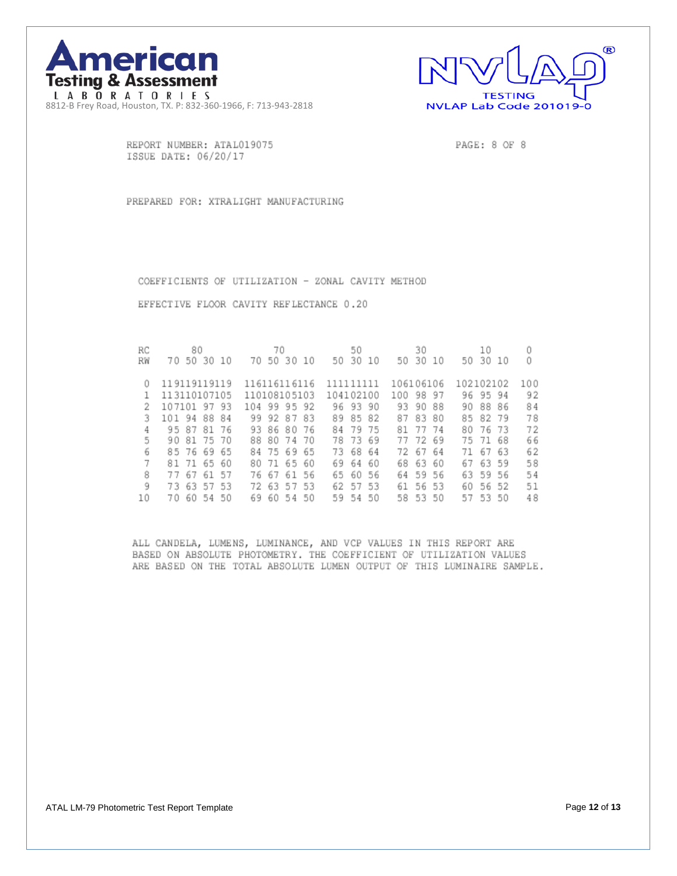



REPORT NUMBER: ATAL019075 ISSUE DATE: 06/20/17

PAGE: 8 OF 8

PREPARED FOR: XTRALIGHT MANUFACTURING

COEFFICIENTS OF UTILIZATION - ZONAL CAVITY METHOD

EFFECTIVE FLOOR CAVITY REFLECTANCE 0.20

| RC | 80                    | 70                    | 50              | 30               | 10               |     |
|----|-----------------------|-----------------------|-----------------|------------------|------------------|-----|
| RW | 50<br>30<br>70<br>-10 | 50 30<br>70<br>10     | 30<br>50<br>10  | 30<br>50<br>10   | - 30<br>50<br>10 |     |
|    |                       |                       |                 |                  |                  |     |
|    | 119119119119          | 116116116116          | 111111111       | 106106106        | 102102102        | 100 |
|    | 113110107105          | 110108105103          | 104102100       | 100<br>98<br>97  | 96.<br>95 94     | 92  |
|    | 107101 97 93          | 104 99<br>95 92       | 93<br>96.<br>90 | 88<br>93<br>90   | 88 86<br>90      | 84  |
| 3  | 94<br>88 84<br>101    | 92 87<br>83<br>99.    | 82<br>89<br>85  | 87<br>83<br>80   | 85<br>82<br>-79  | 78  |
|    | 81 76<br>87<br>95     | 86 80<br>-76<br>93.   | 79<br>75<br>84  | 77<br>- 74<br>81 | -73<br>80<br>76  | 72  |
| 5  | 81<br>75 70<br>90     | 88 80 74<br>70        | 69<br>78<br>-73 | 72<br>69<br>77   | 68<br>75<br>- 71 | 66  |
| 6  | 85 76<br>69 65        | 84 75 69<br>65        | 68<br>64<br>73  | 67<br>64<br>72   | 63<br>71<br>67   | 62  |
|    | 65 60<br>71<br>81     | 80 71 65<br>60        | 60<br>69<br>64  | 63<br>60<br>68   | 63 59<br>67      | 58  |
| 8  | 67<br>61<br>-57<br>77 | 76 67<br>- 61<br>56   | 65<br>60<br>56  | 59 56<br>64      | 63<br>59 56      | 54  |
| 9  | 63<br>53<br>57<br>73  | 63<br>53<br>72.<br>57 | 62<br>57<br>53  | 61<br>56<br>-53  | 56<br>60<br>52   | 51  |
| 10 | 60<br>50<br>54<br>70  | 60 54<br>50<br>69     | 50<br>59.<br>54 | 53 50<br>58      | 57 53<br>50      | 48  |

ALL CANDELA, LUMENS, LUMINANCE, AND VCP VALUES IN THIS REPORT ARE BASED ON ABSOLUTE PHOTOMETRY. THE COEFFICIENT OF UTILIZATION VALUES ARE BASED ON THE TOTAL ABSOLUTE LUMEN OUTPUT OF THIS LUMINAIRE SAMPLE.